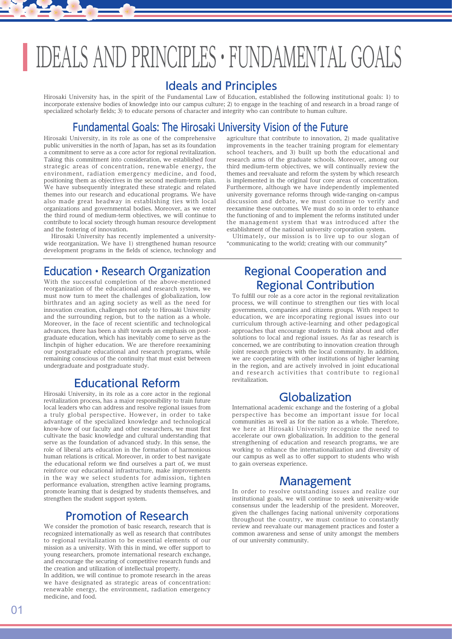## IDEALS AND PRINCIPLES・FUNDAMENTAL GOALS

#### Ideals and Principles

Hirosaki University has, in the spirit of the Fundamental Law of Education, established the following institutional goals: 1) to incorporate extensive bodies of knowledge into our campus culture; 2) to engage in the teaching of and research in a broad range of specialized scholarly fields; 3) to educate persons of character and integrity who can contribute to human culture.

### Fundamental Goals: The Hirosaki University Vision of the Future

Hirosaki University, in its role as one of the comprehensive public universities in the north of Japan, has set as its foundation a commitment to serve as a core actor for regional revitalization. Taking this commitment into consideration, we established four strategic areas of concentration, renewable energy, the environment, radiation emergency medicine, and food, positioning them as objectives in the second medium-term plan. We have subsequently integrated these strategic and related themes into our research and educational programs. We have also made great headway in establishing ties with local organizations and governmental bodies. Moreover, as we enter the third round of medium-term objectives, we will continue to contribute to local society through human resource development and the fostering of innovation.

 Hirosaki University has recently implemented a universitywide reorganization. We have 1) strengthened human resource development programs in the fields of science, technology and

#### Education・Research Organization

With the successful completion of the above-mentioned reorganization of the educational and research system, we must now turn to meet the challenges of globalization, low birthrates and an aging society as well as the need for innovation creation, challenges not only to Hirosaki University and the surrounding region, but to the nation as a whole. Moreover, in the face of recent scientific and technological advances, there has been a shift towards an emphasis on postgraduate education, which has inevitably come to serve as the linchpin of higher education. We are therefore reexamining our postgraduate educational and research programs, while remaining conscious of the continuity that must exist between undergraduate and postgraduate study.

## Educational Reform

Hirosaki University, in its role as a core actor in the regional revitalization process, has a major responsibility to train future local leaders who can address and resolve regional issues from a truly global perspective. However, in order to take advantage of the specialized knowledge and technological know-how of our faculty and other researchers, we must first cultivate the basic knowledge and cultural understanding that serve as the foundation of advanced study. In this sense, the role of liberal arts education in the formation of harmonious human relations is critical. Moreover, in order to best navigate the educational reform we find ourselves a part of, we must reinforce our educational infrastructure, make improvements in the way we select students for admission, tighten performance evaluation, strengthen active learning programs, promote learning that is designed by students themselves, and strengthen the student support system.

## Promotion of Research

We consider the promotion of basic research, research that is recognized internationally as well as research that contributes to regional revitalization to be essential elements of our mission as a university. With this in mind, we offer support to young researchers, promote international research exchange, and encourage the securing of competitive research funds and the creation and utilization of intellectual property.

In addition, we will continue to promote research in the areas we have designated as strategic areas of concentration: renewable energy, the environment, radiation emergency medicine, and food.

agriculture that contribute to innovation, 2) made qualitative improvements in the teacher training program for elementary school teachers, and 3) built up both the educational and research arms of the graduate schools. Moreover, among our third medium-term objectives, we will continually review the themes and reevaluate and reform the system by which research is implemented in the original four core areas of concentration. Furthermore, although we have independently implemented university governance reforms through wide-ranging on-campus discussion and debate, we must continue to verify and reexamine these outcomes. We must do so in order to enhance the functioning of and to implement the reforms instituted under the management system that was introduced after the establishment of the national university corporation system.

 Ultimately, our mission is to live up to our slogan of "communicating to the world; creating with our community"

## Regional Cooperation and Regional Contribution

To fulfill our role as a core actor in the regional revitalization process, we will continue to strengthen our ties with local governments, companies and citizens groups. With respect to education, we are incorporating regional issues into our curriculum through active-learning and other pedagogical approaches that encourage students to think about and offer solutions to local and regional issues. As far as research is concerned, we are contributing to innovation creation through joint research projects with the local community. In addition, we are cooperating with other institutions of higher learning in the region, and are actively involved in joint educational and research activities that contribute to regional revitalization.

#### Globalization

International academic exchange and the fostering of a global perspective has become an important issue for local communities as well as for the nation as a whole. Therefore, we here at Hirosaki University recognize the need to accelerate our own globalization. In addition to the general strengthening of education and research programs, we are working to enhance the internationalization and diversity of our campus as well as to offer support to students who wish to gain overseas experience.

#### Management

In order to resolve outstanding issues and realize our institutional goals, we will continue to seek university-wide consensus under the leadership of the president. Moreover, given the challenges facing national university corporations throughout the country, we must continue to constantly review and reevaluate our management practices and foster a common awareness and sense of unity amongst the members of our university community.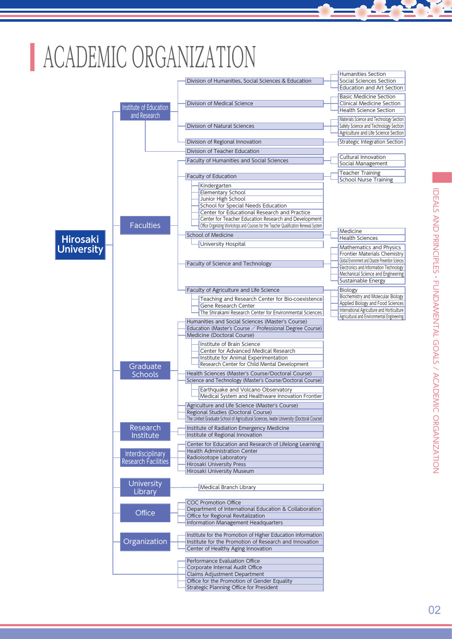# ACADEMIC ORGANIZATION

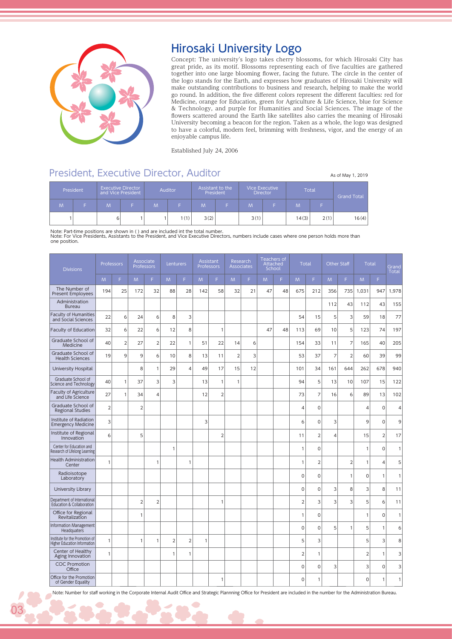

## Hirosaki University Logo

Concept: The university's logo takes cherry blossoms, for which Hirosaki City has great pride, as its motif. Blossoms representing each of five faculties are gathered together into one large blooming flower, facing the future. The circle in the center of the logo stands for the Earth, and expresses how graduates of Hirosaki University will make outstanding contributions to business and research, helping to make the world go round. In addition, the five different colors represent the different faculties: red for Medicine, orange for Education, green for Agriculture & Life Science, blue for Science & Technology, and purple for Humanities and Social Sciences. The image of the flowers scattered around the Earth like satellites also carries the meaning of Hirosaki University becoming a beacon for the region. Taken as a whole, the logo was designed to have a colorful, modern feel, brimming with freshness, vigor, and the energy of an enjoyable campus life.

Established July 24, 2006

#### President, Executive Director, Auditor Associated As of May 1, 2019

|   | President |   | <b>Executive Director</b><br>and Vice President |   | <b>Auditor</b> |      | Assistant to the<br>President |      | <b>Vice Executive</b><br><b>Director</b> |       | Total | <b>Grand Total</b> |
|---|-----------|---|-------------------------------------------------|---|----------------|------|-------------------------------|------|------------------------------------------|-------|-------|--------------------|
| M |           | M |                                                 | M |                | M'   |                               | M    |                                          | M     |       |                    |
|   |           | 6 |                                                 |   | (1)            | 3(2) |                               | 3(1) |                                          | 14(3) | 2(1)  | 16(4)              |

Note: Part-time positions are shown in ( ) and are included int the total number. Note: For Vice Presidents, Assistants to the President, and Vice Executive Directors, numbers include cases where one person holds more than one position.

| <b>Divisions</b>                                               | Professors     |                | Associate<br>Professors |                | Lenturers      |                | Professors   | Assistant      | Research<br><b>Associates</b> |    | School | Teachers of<br>Attached | Total          |                |                | <b>Other Staff</b> | <b>Total</b>   |                | Grand<br><b>Total</b> |
|----------------------------------------------------------------|----------------|----------------|-------------------------|----------------|----------------|----------------|--------------|----------------|-------------------------------|----|--------|-------------------------|----------------|----------------|----------------|--------------------|----------------|----------------|-----------------------|
|                                                                | M              | F.             | M                       | F.             | M              | F              | <b>M</b>     | F.             | M                             | F. | M      | F.                      | M              | F.             | M              | F.                 | M              | F              |                       |
| The Number of<br><b>Present Employees</b>                      | 194            | 25             | 172                     | 32             | 88             | 28             | 142          | 58             | 32                            | 21 | 47     | 48                      | 675            | 212            | 356            | 735                | 1,031          | 947            | 1,978                 |
| Administration<br><b>Bureau</b>                                |                |                |                         |                |                |                |              |                |                               |    |        |                         |                |                | 112            | 43                 | 112            | 43             | 155                   |
| Faculty of Humanities<br>and Social Sciences                   | 22             | 6              | 24                      | 6              | 8              | 3              |              |                |                               |    |        |                         | 54             | 15             | 5              | 3                  | 59             | 18             | 77                    |
| Faculty of Education                                           | 32             | 6              | 22                      | 6              | 12             | 8              |              | $\mathbf{1}$   |                               |    | 47     | 48                      | 113            | 69             | 10             | 5                  | 123            | 74             | 197                   |
| Graduate School of<br>Medicine                                 | 40             | $\overline{2}$ | 27                      | $\overline{2}$ | 22             | $\mathbf{1}$   | 51           | 22             | 14                            | 6  |        |                         | 154            | 33             | 11             | 7                  | 165            | 40             | 205                   |
| Graduate School of<br><b>Health Sciences</b>                   | 19             | 9              | 9                       | 6              | 10             | 8              | 13           | 11             | $\overline{2}$                | 3  |        |                         | 53             | 37             | $\overline{7}$ | $\overline{2}$     | 60             | 39             | 99                    |
| University Hospital                                            |                |                | 8                       | $\mathbf{1}$   | 29             | $\overline{4}$ | 49           | 17             | 15                            | 12 |        |                         | 101            | 34             | 161            | 644                | 262            | 678            | 940                   |
| Graduate School of<br>Science and Technology                   | 40             | 1              | 37                      | 3              | 3              |                | 13           | 1              | 1                             |    |        |                         | 94             | 5              | 13             | 10                 | 107            | 15             | 122                   |
| Faculty of Agriculture<br>and Life Science                     | 27             | 1              | 34                      | $\overline{4}$ |                |                | 12           | $\overline{2}$ |                               |    |        |                         | 73             | $\overline{7}$ | 16             | 6                  | 89             | 13             | 102                   |
| Graduate School of<br><b>Regional Studies</b>                  | $\overline{2}$ |                | $\overline{2}$          |                |                |                |              |                |                               |    |        |                         | $\overline{4}$ | $\mathbf 0$    |                |                    | $\overline{4}$ | $\mathbf 0$    | 4                     |
| Institute of Radiation<br><b>Emergency Medicine</b>            | 3              |                |                         |                |                |                | 3            |                |                               |    |        |                         | 6              | $\mathbf 0$    | 3              |                    | 9              | $\mathbf 0$    | 9                     |
| Institute of Regional<br>Innovation                            | 6              |                | 5                       |                |                |                |              | $\overline{2}$ |                               |    |        |                         | 11             | $\overline{2}$ | $\overline{4}$ |                    | 15             | $\overline{2}$ | 17                    |
| Center for Education and<br>Research of Lifelong Learning      |                |                |                         |                | 1              |                |              |                |                               |    |        |                         | 1              | $\Omega$       |                |                    | $\mathbf{1}$   | $\mathbf 0$    | 1                     |
| <b>Health Administration</b><br>Center                         | $\mathbf{1}$   |                |                         | 1              |                | $\overline{1}$ |              |                |                               |    |        |                         | 1              | $\overline{2}$ |                | $\overline{2}$     | $\mathbf{1}$   | $\overline{4}$ | 5                     |
| Radioisotope<br>Laboratory                                     |                |                |                         |                |                |                |              |                |                               |    |        |                         | $\Omega$       | $\Omega$       |                | $\mathbf 1$        | $\Omega$       | 1              | 1                     |
| University Library                                             |                |                |                         |                |                |                |              |                |                               |    |        |                         | $\Omega$       | $\Omega$       | 3              | 8                  | 3              | 8              | 11                    |
| Department of International<br>Education & Collaboration       |                |                | $\overline{2}$          | $\overline{2}$ |                |                |              | 1              |                               |    |        |                         | $\overline{2}$ | 3              | 3              | 3                  | 5              | 6              | 11                    |
| Office for Regional<br>Revitalization                          |                |                | 1                       |                |                |                |              |                |                               |    |        |                         | 1              | $\mathbf 0$    |                |                    | $\mathbf{1}$   | $\mathbf 0$    | 1                     |
| Information Management<br>Headquaters                          |                |                |                         |                |                |                |              |                |                               |    |        |                         | $\mathbf 0$    | $\mathbf 0$    | 5              | 1                  | 5              | $\mathbf{1}$   | 6                     |
| Institute for the Promotion of<br>Higher Education Information | $\mathbf{1}$   |                | $\mathbf{1}$            | $\mathbf{1}$   | $\overline{2}$ | $\overline{2}$ | $\mathbf{1}$ |                |                               |    |        |                         | 5              | 3              |                |                    | 5              | 3              | 8                     |
| Center of Healthy<br>Aging Innovation                          | $\mathbf{1}$   |                |                         |                | $\mathbf{1}$   | $\mathbf{1}$   |              |                |                               |    |        |                         | $\overline{2}$ | 1              |                |                    | $\overline{2}$ | 1              | 3                     |
| <b>COC Promotion</b><br>Office                                 |                |                |                         |                |                |                |              |                |                               |    |        |                         | 0              | $\overline{O}$ | 3              |                    | 3              | $\mathbf 0$    | 3                     |
| Office for the Promotion<br>of Gender Equality                 |                |                |                         |                |                |                |              | 1              |                               |    |        |                         | $\mathbf 0$    | 1              |                |                    | $\mathbf 0$    | $\mathbf{1}$   | 1                     |

Note: Number for staff working in the Corporate Internal Audit Office and Strategic Plannning Office for President are included in the number for the Administration Bureau.

03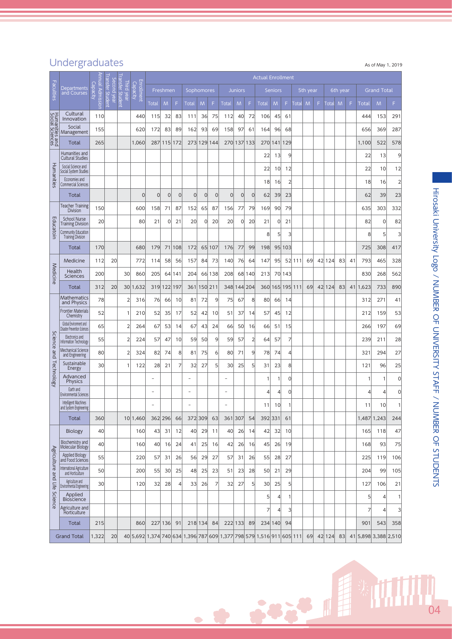## Undergraduates As of May 1, 2019

|                                   |                                                        | launn.     |                                        |                               |                                                                      |                          |                |             |            |                |                |                          |                |                | <b>Actual Enrollment</b> |                |                         |         |          |   |        |          |    |       |                      |                |
|-----------------------------------|--------------------------------------------------------|------------|----------------------------------------|-------------------------------|----------------------------------------------------------------------|--------------------------|----------------|-------------|------------|----------------|----------------|--------------------------|----------------|----------------|--------------------------|----------------|-------------------------|---------|----------|---|--------|----------|----|-------|----------------------|----------------|
| Faculties                         | Departments<br>and Courses                             | ဥ္<br>paci | <b>Transfer Student</b><br>Second year | ransfer Student<br>Third year | Enrollment<br>Capacity                                               |                          | Freshmen       |             | Sophomores |                |                |                          | <b>Juniors</b> |                |                          | <b>Seniors</b> |                         |         | 5th year |   |        | 6th year |    |       | <b>Grand Total</b>   |                |
|                                   |                                                        | Admission  |                                        |                               |                                                                      | <b>Total</b>             | M              | F           | Total      | M              | F              | <b>Total</b>             | M              | F              | Total                    | M              | F                       | Total   | M        | F | Total  | M        | F  | Total | M                    | F.             |
|                                   | Cultural<br>Innovation                                 | 110        |                                        |                               | 440                                                                  | 115                      | 32             | 83          | 111        | 36             | 75             | 112                      | 40             | 72             | 106                      | 45             | 61                      |         |          |   |        |          |    | 444   | 153                  | 291            |
| Humanities and<br>Social Sciences | Social<br>Management                                   | 155        |                                        |                               | 620                                                                  | 172                      | 83             | 89          | 162        | 93             | 69             | 158                      | 97             | 61             | 164                      | 96             | 68                      |         |          |   |        |          |    | 656   | 369                  | 287            |
|                                   | Total                                                  | 265        |                                        |                               | 1,060                                                                | 287                      | 115            | 172         |            | 273 129 144    |                | 270                      | 137 133        |                | 270                      | 141            | 129                     |         |          |   |        |          |    | 1,100 | 522                  | 578            |
|                                   | Humanities and<br><b>Cultural Studies</b>              |            |                                        |                               |                                                                      |                          |                |             |            |                |                |                          |                |                | 22                       | 13             | 9                       |         |          |   |        |          |    | 22    | 13                   | 9              |
| Humanities                        | Social Science and<br>Social System Studies            |            |                                        |                               |                                                                      |                          |                |             |            |                |                |                          |                |                | 22                       | 10             | 12                      |         |          |   |        |          |    | 22    | 10                   | 12             |
|                                   | Economies and<br><b>Commercial Sciences</b>            |            |                                        |                               |                                                                      |                          |                |             |            |                |                |                          |                |                | 18                       | 16             | $\overline{2}$          |         |          |   |        |          |    | 18    | 16                   | $\overline{2}$ |
|                                   | Total                                                  |            |                                        |                               | 0                                                                    | $\Omega$                 | $\overline{0}$ | $\mathbf 0$ | $\Omega$   | $\overline{0}$ | $\overline{0}$ | $\overline{0}$           | $\overline{0}$ | $\overline{0}$ | 62                       | 39             | 23                      |         |          |   |        |          |    | 62    | 39                   | 23             |
|                                   | <b>Teacher Training</b><br><b>Division</b>             | 150        |                                        |                               | 600                                                                  | 158                      | 71             | 87          | 152        | 65             | 87             | 156                      | 77             | 79             | 169                      | 90             | 79                      |         |          |   |        |          |    | 635   | 303                  | 332            |
| Educatoin                         | <b>School Nurse</b><br><b>Training Division</b>        | 20         |                                        |                               | 80                                                                   | 21                       | 0              | 21          | 20         | 0              | 20             | 20                       | $\Omega$       | 20             | 21                       | 0              | 21                      |         |          |   |        |          |    | 82    | $\mathbf 0$          | 82             |
|                                   | Community Education<br><b>Training Division</b>        |            |                                        |                               |                                                                      |                          |                |             |            |                |                |                          |                |                | 8                        | 5              | $\overline{3}$          |         |          |   |        |          |    | 8     | 5                    | 3              |
|                                   | <b>Total</b>                                           | 170        |                                        |                               | 680                                                                  | 179                      | 71             | 108         | 172        |                | 65 107         | 176                      | 77             | 99             | 198                      | 95             | 103                     |         |          |   |        |          |    | 725   | 308                  | 417            |
|                                   | Medicine                                               | 112        | 20                                     |                               | 772                                                                  | 114                      | 58             | 56          | 157        | 84             | 73             | 140                      | 76             | 64             | 147                      | 95             |                         | 52 111  | 69       |   | 42 124 | 83       | 41 | 793   | 465                  | 328            |
| Medicine                          | Health<br>Sciences                                     | 200        |                                        | 30                            | 860                                                                  | 205                      |                | 64 141      | 204        |                | 66 138         | 208                      |                | 68 140         | 213                      | 70             | 143                     |         |          |   |        |          |    | 830   | 268                  | 562            |
|                                   | Total                                                  | 312        | 20                                     | <b>30</b>                     | 1,632                                                                |                          | 319 122 197    |             | 361        | 150 211        |                | 348                      |                | 144 204        | 360                      | 165            |                         | 195 111 | 69       |   | 42 124 | 83       | 41 | 1,623 | 733                  | 890            |
|                                   | Mathematics<br>and Physics                             | 78         |                                        | 2                             | 316                                                                  | 76                       | 66             | 10          | 81         | 72             | 9              | 75                       | 67             | 8              | 80                       | 66             | 14                      |         |          |   |        |          |    | 312   | 271                  | 41             |
|                                   | <b>Frontier Materials</b><br>Chemistry                 | 52         |                                        | 1                             | 210                                                                  | 52                       | 35             | 17          | 52         | 42             | 10             | 51                       | 37             | 14             | 57                       | 45             | 12                      |         |          |   |        |          |    | 212   | 159                  | 53             |
|                                   | Global Environment and<br>Disaster Prevention Sciences | 65         |                                        |                               | 264                                                                  | 67                       | 53             | 14          | 67         | 43             | 24             | 66                       | 50             | 16             | 66                       | 51             | 15                      |         |          |   |        |          |    | 266   | 197                  | 69             |
| Science                           | Electronics and<br>Information Technology              | 55         |                                        | 2                             | 224                                                                  | 57                       | 47             | 10          | 59         | 50             | 9              | 59                       | 57             | $\overline{2}$ | 64                       | 57             | 7                       |         |          |   |        |          |    | 239   | 211                  | 28             |
| pue                               | Mechanical Science<br>and Engineering                  | 80         |                                        | 2                             | 324                                                                  | 82                       | 74             | 8           | 81         | 75             | 6              | 80                       | 71             | 9              | 78                       | 74             | $\left 4\right $        |         |          |   |        |          |    | 321   | 294                  | 27             |
|                                   | Sustainable<br>Energy                                  | 30         |                                        |                               | 122                                                                  | 28                       | 21             | 7           | 32         | 27             | 5              | 30                       | 25             | 5              | 31                       | 23             | 8                       |         |          |   |        |          |    | 121   | 96                   | 25             |
| Technology                        | Advanced<br><b>Physics</b>                             |            |                                        |                               |                                                                      | $\equiv$                 |                |             | ۳          |                |                | $\overline{\phantom{a}}$ |                |                | $\mathbf{1}$             | 1              | $\Omega$                |         |          |   |        |          |    | 1     | 1                    | 0              |
|                                   | Earth and<br><b>Environmental Sciences</b>             |            |                                        |                               |                                                                      |                          |                |             |            |                |                |                          |                |                | 4                        | 4              | 0                       |         |          |   |        |          |    | 4     | 4                    | 0              |
|                                   | Intelligent Machines<br>and System Engineering         |            |                                        |                               |                                                                      | $\overline{\phantom{0}}$ |                |             |            |                |                | ۰                        |                |                | 11                       | 10             | 1                       |         |          |   |        |          |    | 11    | 10                   | 1              |
|                                   | Total                                                  | 360        |                                        |                               | 10 1,460                                                             |                          | 362 296        | 66          |            | 372 309        | 63             | 361 307                  |                | 54             |                          | 392 331        | 61                      |         |          |   |        |          |    |       | 1,487 1,243          | 244            |
|                                   | <b>Biology</b>                                         | 40         |                                        |                               | 160                                                                  | 43                       | 31             | 12          | 40         | 29             | 11             | 40                       | 26             | 14             | 42                       | 32             | 10                      |         |          |   |        |          |    | 165   | 118                  | 47             |
|                                   | Biochemistry and<br>Molecular Biology                  | 40         |                                        |                               | 160                                                                  | 40                       | 16             | 24          | 41         | 25             | 16             | 42                       | 26             | 16             | 45                       | 26             | 19                      |         |          |   |        |          |    | 168   | 93                   | 75             |
| Agriculture                       | Applied Biology<br>and Food Sciences                   | 55         |                                        |                               | 220                                                                  | 57                       | 31             | 26          | 56         | 29             | 27             | 57                       | 31             | 26             | 55                       | 28             | 27                      |         |          |   |        |          |    | 225   | 119                  | 106            |
| pue                               | International Agriculture<br>and Horticulture          | 50         |                                        |                               | 200                                                                  | 55                       | 30             | 25          | 48         | 25             | 23             | 51                       | 23             | 28             | 50                       | 21             | 29                      |         |          |   |        |          |    | 204   | 99                   | 105            |
| Life                              | Agriculture and<br><b>Environmental Engineering</b>    | 30         |                                        |                               | 120                                                                  | 32                       | 28             | 4           | 33         | 26             | $\overline{7}$ | 32                       | 27             | 5              | 30                       | 25             | 5 <sup>1</sup>          |         |          |   |        |          |    | 127   | 106                  | 21             |
| Science                           | Applied<br><b>Bioscience</b>                           |            |                                        |                               |                                                                      |                          |                |             |            |                |                |                          |                |                | 5                        | 4              | 1                       |         |          |   |        |          |    | 5     | 4                    | 1              |
|                                   | Agriculture and<br>Horticulture                        |            |                                        |                               |                                                                      |                          |                |             |            |                |                |                          |                |                | 7                        | 4              | $\overline{\mathbf{3}}$ |         |          |   |        |          |    | 7     | 4                    | 3              |
|                                   | Total                                                  | 215        |                                        |                               | 860                                                                  |                          | 227 136        | 91          |            | 218 134        | 84             |                          | 222 133        | 89             |                          | 234 140        | 94                      |         |          |   |        |          |    | 901   | 543                  | 358            |
|                                   | <b>Grand Total</b>                                     | 1,322      | 20                                     |                               | 40 5,692 1,374 740 634 1,396 787 609 1,377 798 579 1,516 911 605 111 |                          |                |             |            |                |                |                          |                |                |                          |                |                         |         | 69       |   | 42 124 | 83       |    |       | 41 5,898 3,388 2,510 |                |

 $04$ 

类面

 $+8+8$ 

 $\bullet$ 

 $\bullet$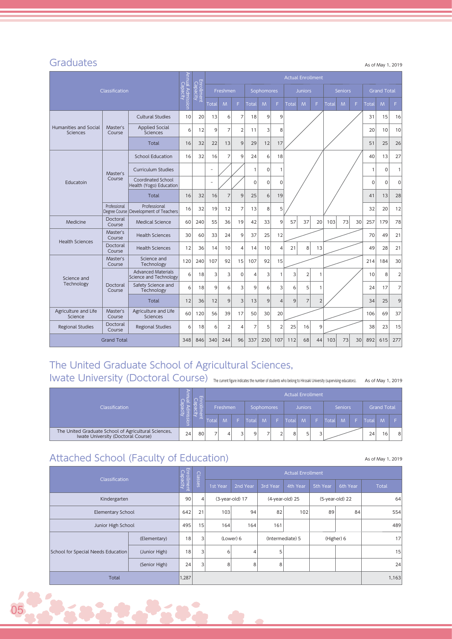#### **Graduates**

As of May 1, 2019

|                                   |                    |                                                         |                              |                        |                |                |                |                |             |                | <b>Actual Enrollment</b> |                |                |       |                |    |             |                    |                |    |    |
|-----------------------------------|--------------------|---------------------------------------------------------|------------------------------|------------------------|----------------|----------------|----------------|----------------|-------------|----------------|--------------------------|----------------|----------------|-------|----------------|----|-------------|--------------------|----------------|----|----|
|                                   | Classification     |                                                         | Annual Admission<br>Capacity | Enrollment<br>Capacity |                | Freshmen       |                |                | Sophomores  |                |                          | <b>Juniors</b> |                |       | <b>Seniors</b> |    |             | <b>Grand Total</b> |                |    |    |
|                                   |                    |                                                         |                              |                        | Total          | M              | F.             | Total          | M           | F.             | Total                    | M              | F              | Total | M              | F. | Total       | M                  | F              |    |    |
|                                   |                    | <b>Cultural Studies</b>                                 | 10                           | 20                     | 13             | 6              | $\overline{7}$ | 18             | 9           | 9              |                          |                |                |       |                |    | 31          | 15                 | 16             |    |    |
| Humanities and Social<br>Sciences | Master's<br>Course | <b>Applied Social</b><br><b>Sciences</b>                | 6                            | 12                     | 9              | $\overline{7}$ | $\overline{2}$ | 11             | 3           | 8              |                          |                |                |       |                |    | 20          | 10                 | 10             |    |    |
|                                   |                    | Total                                                   | 16                           | 32                     | 22             | 13             | 9              | 29             | 12          | 17             |                          |                |                |       |                |    | 51          | 25                 | 26             |    |    |
|                                   |                    | <b>School Education</b>                                 | 16                           | 32                     | 16             | $\overline{7}$ | 9              | 24             | 6           | 18             |                          |                |                |       |                |    | 40          | 13                 | 27             |    |    |
|                                   | Master's           | <b>Curriculum Studies</b>                               |                              |                        | $\overline{a}$ |                |                | $\mathbf{1}$   | $\Omega$    | 1              |                          |                |                |       |                |    | 1           | $\Omega$           | $\mathbf{1}$   |    |    |
| Educatoin                         | Course             | Coordinated School<br>Health (Yogo) Education           |                              |                        | ÷,             |                |                | 0              | $\mathbf 0$ | 0              |                          |                |                |       |                |    | $\mathbf 0$ | $\mathbf 0$        | $\mathbf 0$    |    |    |
|                                   |                    | Total                                                   | 16                           | 32                     | 16             | $\overline{7}$ | $\mathsf{Q}$   | 25             | 6           | 19             |                          |                |                |       |                |    | 41          | 13                 | 28             |    |    |
|                                   | Professional       | Professional<br>Degree Course   Development of Teachers | 16                           | 32                     | 19             | 12             | $\overline{7}$ | 13             | 8           | 5              |                          |                |                |       |                |    | 32          | 20                 | 12             |    |    |
| Medicine                          | Doctoral<br>Course | <b>Medical Science</b>                                  | 60                           | 240                    | 55             | 36             | 19             | 42             | 33          | 9              | 57                       | 37             | 20             | 103   | 73             | 30 | 257         | 179                | 78             |    |    |
| <b>Health Sciences</b>            | Master's<br>Course | <b>Health Sciences</b>                                  | 30                           | 60                     | 33             | 24             | 9              | 37             | 25          | 12             |                          | 8<br>13        |                |       |                |    |             |                    | 70             | 49 | 21 |
|                                   | Doctoral<br>Course | <b>Health Sciences</b>                                  | 12                           | 36                     | 14             | 10             | $\overline{4}$ | 14             | 10          | 4              | 21                       |                |                |       |                |    | 49          | 28                 | 21             |    |    |
|                                   | Master's<br>Course | Science and<br>Technology                               | 120                          | 240                    | 107            | 92             | 15             | 107            | 92          | 15             |                          |                |                |       |                |    | 214         | 184                | 30             |    |    |
| Science and                       |                    | <b>Advanced Materials</b><br>Science and Technology     | 6                            | 18                     | 3              | 3              | $\mathbf 0$    | 4              | 3           | $\mathbf{1}$   | 3                        | $\overline{2}$ | 1              |       |                |    | 10          | 8                  | $\overline{2}$ |    |    |
| Technology                        | Doctoral<br>Course | Safety Science and<br>Technology                        | 6                            | 18                     | 9              | 6              | 3              | 9              | 6           | 3              | 6                        | 5              | $\mathbf{1}$   |       |                |    | 24          | 17                 | 7              |    |    |
|                                   |                    | Total                                                   | 12                           | 36                     | 12             | 9              | $\overline{3}$ | 13             | 9           | $\overline{4}$ | 9                        | 7              | $\overline{2}$ |       |                |    | 34          | 25                 | 9              |    |    |
| Agriculture and Life<br>Science   | Master's<br>Course | Agriculture and Life<br><b>Sciences</b>                 | 60                           | 120                    | 56             | 39             | 17             | 50             | 30          | 20             |                          |                |                |       |                |    | 106         | 69                 | 37             |    |    |
| <b>Regional Studies</b>           | Doctoral<br>Course | <b>Regional Studies</b>                                 | 6                            | 18                     | 6              | $\overline{2}$ | $\overline{4}$ | $\overline{7}$ | 5           | $\overline{2}$ | 25                       | 16             | 9              |       |                |    | 38          | 23                 | 15             |    |    |
|                                   | <b>Grand Total</b> |                                                         |                              |                        |                |                | 96             | 337            | 230         | 107            | 112                      | 68             | 44             | 103   | 73             | 30 | 892         | 615                | 277            |    |    |

## The United Graduate School of Agricultural Sciences,

IWAte University (Doctoral Course) The current figure indicates the number of students who belong to Hirosaki University (supervising educators). As of May 1, 2019

|                                                                                            | $\Omega$ | 鸟  |       |          |       |            | <b>Actual Enrollment</b> |                |   |              |                |       |                    |                |
|--------------------------------------------------------------------------------------------|----------|----|-------|----------|-------|------------|--------------------------|----------------|---|--------------|----------------|-------|--------------------|----------------|
| <b>Classification</b>                                                                      |          |    |       | Freshmen |       | Sophomores |                          | <b>Juniors</b> |   |              | <b>Seniors</b> |       | <b>Grand Total</b> |                |
|                                                                                            | iss      | -  | Total | M        | Total | M          | Total                    | M              |   | <b>Total</b> | M              | Total | $\mathsf{M}$       |                |
| The United Graduate School of Agricultural Sciences,<br>Iwate University (Doctoral Course) | 24       | 80 |       | 4        | q     |            | 8                        | $\blacksquare$ | 3 |              |                | 24    | 16 <sub>1</sub>    | 8 <sup>1</sup> |

## Attached School (Faculty of Education)

05

As of May 1, 2019

| Classification                     | Enrollment<br>Capacity | Classes |                |          |                 | <b>Actual Enrollment</b> |                  |          |                 |              |
|------------------------------------|------------------------|---------|----------------|----------|-----------------|--------------------------|------------------|----------|-----------------|--------------|
|                                    |                        |         |                | 1st Year | 2nd Year        | 3rd Year                 | 4th Year         | 5th Year | 6th Year        | <b>Total</b> |
| Kindergarten                       |                        | 90      | $\overline{4}$ |          | (3-year-old) 17 |                          | (4-year-old) 25  |          | (5-year-old) 22 | 64           |
| Elementary School                  |                        | 642     | 21             | 103      | 94              | 82                       | 102              | 89       | 84              | 554          |
| Junior High School                 |                        | 495     | 15             | 164      | 164             | 161                      |                  |          |                 | 489          |
|                                    | (Elementary)           | 18      | 3              |          | (Lower) 6       |                          | (Intermediate) 5 |          | (Higher) 6      | 17           |
| School for Special Needs Education | (Junior High)          | 18      | 3 <sup>1</sup> | 6        | 4               | 5                        |                  |          |                 | 15           |
|                                    | (Senior High)          |         | 3              | 8        | 8               | 8                        |                  |          |                 | 24           |
| <b>Total</b>                       | 1,287                  |         |                |          |                 |                          |                  |          | 1,163           |              |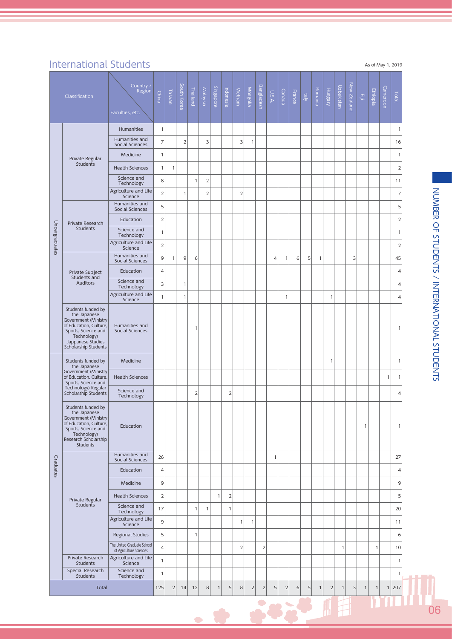## International Students

|  | As of May 1, 2019 |  |  |
|--|-------------------|--|--|

|                | Classification                                                                                                                                                          | Country /<br>Region<br>Faculties, etc.                | China          | Taiwan       | South Korea    | Thailand       | Malaysia       | Singapore    | Indonesia      | Vietnam        | Mongolia       | Bangladesh  | A.S.U          | Canada         | France | Italy | Romania      | Hungary        | Uzbekistan   | New Zealand | $\Xi$        | Ethiopia     | Cameroon     | Total          |
|----------------|-------------------------------------------------------------------------------------------------------------------------------------------------------------------------|-------------------------------------------------------|----------------|--------------|----------------|----------------|----------------|--------------|----------------|----------------|----------------|-------------|----------------|----------------|--------|-------|--------------|----------------|--------------|-------------|--------------|--------------|--------------|----------------|
|                |                                                                                                                                                                         | <b>Humanities</b>                                     | $\mathbf{1}$   |              |                |                |                |              |                |                |                |             |                |                |        |       |              |                |              |             |              |              |              | $\mathbf{1}$   |
|                |                                                                                                                                                                         | Humanities and<br>Social Sciences                     | 7              |              | $\overline{2}$ |                | 3              |              |                | 3              | $\mathbf{1}$   |             |                |                |        |       |              |                |              |             |              |              |              | 16             |
|                | Private Regular                                                                                                                                                         | Medicine                                              | 1              |              |                |                |                |              |                |                |                |             |                |                |        |       |              |                |              |             |              |              |              | $\mathbf{1}$   |
|                | <b>Students</b>                                                                                                                                                         | <b>Health Sciences</b>                                | $\mathbf{1}$   | 1            |                |                |                |              |                |                |                |             |                |                |        |       |              |                |              |             |              |              |              | $\overline{2}$ |
|                |                                                                                                                                                                         | Science and<br>Technology                             | 8              |              |                | $\mathbf{1}$   | $\overline{c}$ |              |                |                |                |             |                |                |        |       |              |                |              |             |              |              |              | 11             |
|                |                                                                                                                                                                         | Agriculture and Life<br>Science                       | $\overline{2}$ |              | 1              |                | $\overline{2}$ |              |                | $\mathbf 2$    |                |             |                |                |        |       |              |                |              |             |              |              |              | $\overline{7}$ |
|                |                                                                                                                                                                         | Humanities and<br>Social Sciences                     | 5              |              |                |                |                |              |                |                |                |             |                |                |        |       |              |                |              |             |              |              |              | 5              |
|                | Private Research                                                                                                                                                        | Education                                             | $\overline{2}$ |              |                |                |                |              |                |                |                |             |                |                |        |       |              |                |              |             |              |              |              | $\mathbf 2$    |
|                | Students                                                                                                                                                                | Science and<br>Technology                             | $\mathbf{1}$   |              |                |                |                |              |                |                |                |             |                |                |        |       |              |                |              |             |              |              |              | $\mathbf{1}$   |
| Undergraduates |                                                                                                                                                                         | Agriculture and Life<br>Science                       | $\overline{2}$ |              |                |                |                |              |                |                |                |             |                |                |        |       |              |                |              |             |              |              |              | $\overline{2}$ |
|                |                                                                                                                                                                         | Humanities and<br>Social Sciences                     | 9              | $\mathbf{1}$ | 9              | 6              |                |              |                |                |                |             | $\overline{4}$ | $\mathbf{1}$   | 6      | 5     | 1            |                |              | 3           |              |              |              | 45             |
|                | Private Subject                                                                                                                                                         | Education                                             | 4              |              |                |                |                |              |                |                |                |             |                |                |        |       |              |                |              |             |              |              |              | $\overline{4}$ |
|                | Students and<br><b>Auditors</b>                                                                                                                                         | Science and<br>Technology                             | 3              |              | 1              |                |                |              |                |                |                |             |                |                |        |       |              |                |              |             |              |              |              | $\overline{4}$ |
|                |                                                                                                                                                                         | Agriculture and Life<br>Science                       | 1              |              | 1              |                |                |              |                |                |                |             |                | $\mathbf{1}$   |        |       |              | $\mathbf{1}$   |              |             |              |              |              | 4              |
|                | Students funded by<br>the Japanese<br>Government (Ministry<br>of Education, Culture,<br>Sports, Science and<br>Technology)<br>Jappanese Studies<br>Scholarship Students | Humanities and<br>Social Sciences                     |                |              |                | 1              |                |              |                |                |                |             |                |                |        |       |              |                |              |             |              |              |              | $\mathbf{1}$   |
|                | Students funded by<br>the Japanese                                                                                                                                      | Medicine                                              |                |              |                |                |                |              |                |                |                |             |                |                |        |       |              | $\mathbf{1}$   |              |             |              |              |              | $\mathbf{1}$   |
|                | Government (Ministry<br>of Education, Culture,<br>Sports, Science and                                                                                                   | <b>Health Sciences</b>                                |                |              |                |                |                |              |                |                |                |             |                |                |        |       |              |                |              |             |              |              | $\mathbf{1}$ | $\mathbf{1}$   |
|                | Technology) Regular<br>Scholarship Students                                                                                                                             | Science and<br>Technology                             |                |              |                | $\overline{2}$ |                |              | $\overline{2}$ |                |                |             |                |                |        |       |              |                |              |             |              |              |              | $\overline{4}$ |
|                | Students funded by<br>the Japanese<br>Government (Ministry<br>of Education, Culture,<br>Sports, Science and<br>Technology)<br>Research Scholarship<br>Students          | Education                                             |                |              |                |                |                |              |                |                |                |             |                |                |        |       |              |                |              |             | 1            |              |              | $\mathbf{1}$   |
|                |                                                                                                                                                                         | Humanities and<br>Social Sciences                     | 26             |              |                |                |                |              |                |                |                |             | $\mathbf{1}$   |                |        |       |              |                |              |             |              |              |              | 27             |
| Graduates      |                                                                                                                                                                         | Education                                             | 4              |              |                |                |                |              |                |                |                |             |                |                |        |       |              |                |              |             |              |              |              | 4              |
|                |                                                                                                                                                                         | Medicine                                              | 9              |              |                |                |                |              |                |                |                |             |                |                |        |       |              |                |              |             |              |              |              | 9              |
|                | Private Regular                                                                                                                                                         | <b>Health Sciences</b>                                | $\overline{2}$ |              |                |                |                | $\mathbf{1}$ | $\overline{2}$ |                |                |             |                |                |        |       |              |                |              |             |              |              |              | 5              |
|                | <b>Students</b>                                                                                                                                                         | Science and<br>Technology                             | 17             |              |                | $\mathbf{1}$   | 1              |              | 1              |                |                |             |                |                |        |       |              |                |              |             |              |              |              | 20             |
|                |                                                                                                                                                                         | Agriculture and Life<br>Science                       | 9              |              |                |                |                |              |                | $\mathbf{1}$   | $\mathbf{1}$   |             |                |                |        |       |              |                |              |             |              |              |              | 11             |
|                |                                                                                                                                                                         | Regional Studies                                      | 5              |              |                | $\mathbf{1}$   |                |              |                |                |                |             |                |                |        |       |              |                |              |             |              |              |              | 6              |
|                |                                                                                                                                                                         | The United Graduate School<br>of Agriculture Sciences | 4              |              |                |                |                |              |                | $\overline{2}$ |                | $\mathbf 2$ |                |                |        |       |              |                | $\mathbf{1}$ |             |              | $\mathbf{1}$ |              | 10             |
|                | Private Research<br><b>Students</b>                                                                                                                                     | Agriculture and Life<br>Science                       | $\mathbf{1}$   |              |                |                |                |              |                |                |                |             |                |                |        |       |              |                |              |             |              |              |              | $\mathbf{1}$   |
|                | Special Research<br><b>Students</b>                                                                                                                                     | Science and<br>Technology                             | $\mathbf{1}$   |              |                |                |                |              |                |                |                |             |                |                |        |       |              |                |              |             |              |              |              | $\mathbf{1}$   |
|                | Total                                                                                                                                                                   |                                                       | 125            | $\sqrt{2}$   | 14             | 12             | $\,8\,$        | $\mathbf{1}$ | 5              | 8              | $\overline{2}$ | $\sqrt{2}$  | 5              | $\overline{2}$ | 6      | 5     | $\mathbf{1}$ | $\overline{2}$ | $\mathbf{1}$ | 3           | $\mathbf{1}$ | $\mathbf{1}$ |              | 1 207          |
|                |                                                                                                                                                                         |                                                       |                |              |                |                |                |              |                |                |                |             |                |                |        |       |              |                |              |             |              |              |              |                |
|                |                                                                                                                                                                         |                                                       |                |              |                |                |                |              |                |                |                |             |                |                |        |       |              |                |              |             |              |              |              |                |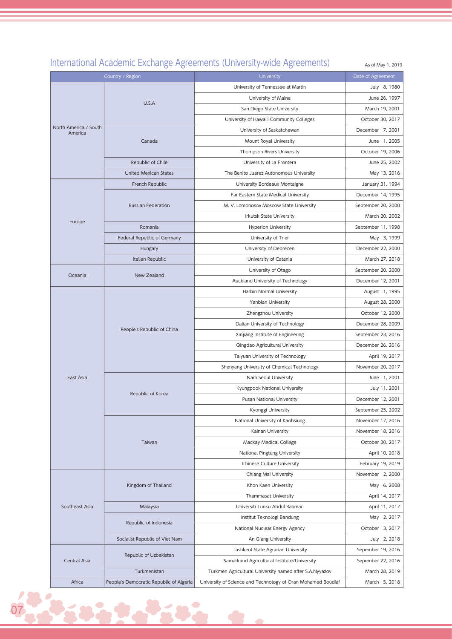#### International Academic Exchange Agreements (University-wide Agreements)

As of May 1, 2019

Country / Region University Date of Agreement North America / South America U.S.A University of Tennessee at Martin **July 8, 1980** University of Maine **June 26, 1997** San Diego State University March 19, 2001 University of Hawai'i Community Colleges Controller 20, 2017 Canada University of Saskatchewan December 7, 2001 Mount Royal University **Accord 1** Mount Royal University Thompson Rivers University **Company Property** October 19, 2006 Republic of Chile Chile University of La Frontera Alexander Dune 25, 2002 United Mexican States The Benito Juarez Autonomous University May 13, 2016 Europe French Republic **No. 2018** University Bordeaux Montaigne January 31, 1994 Russian Federation Far Eastern State Medical University **December 14, 1995** M. V. Lomonosov Moscow State University M. V. Lomonosov Moscow State University Irkutsk State University March 20, 2002 Romania **Exercise September 11, 1998** Hyperion University **September 11, 1998** Federal Republic of Germany **Example 2, 1999** University of Trier May 3, 1999 May 3, 1999 Hungary **Example 22, 2000** University of Debrecen **December 22, 2000** Italian Republic **Interversity of Catania** March 27, 2018 Oceania New Zealand University of Otago September 20, 2000 Auckland University of Technology **December 12, 2001** East Asia People's Republic of China Harbin Normal University **August 1, 1995** Yanbian University **August 28, 2000** Zhengzhou University **Changes** October 12, 2000 Dalian University of Technology **December 28, 2009** Xinjiang Institute of Engineering September 23, 2016 Qingdao Agricultural University **December 26, 2016** Taiyuan University of Technology **April 19, 2017** Shenyang University of Chemical Technology November 20, 2017 Republic of Korea Nam Seoul University June 1, 2001 Kyungpook National University **Fig. 11. 1988** July 11, 2001 Pusan National University **December 12, 2001** Kyonggi University **September 25, 2002** Taiwan National University of Kaohsiung November 17, 2016 Kainan University **November 18, 2016** Mackay Medical College **Contact Accord College** Contact Accord College October 30, 2017 National Pingtung University **April 10, 2018** Chinese Culture University February 19, 2019 Southeast Asia Kingdom of Thailand Chiang Mai University **November 2, 2000** Khon Kaen University **May 6, 2008** Thammasat University **April 14, 2017** Malaysia **Malaysia Example 2017** Universiti Tunku Abdul Rahman April 11, 2017 Republic of Indonesia Institut Teknologi Bandung May 2, 2017 National Nuclear Energy Agency **National Struck Contract Contract Agency** October 3, 2017 Socialist Republic of Viet Nam An An Giang University An Giang University July 2, 2018 Central Asia Republic of Uzbekistan Tashkent State Agrarian University **Sepember 19, 2016** Samarkand Agricultural Institute/University Sepember 22, 2016 Turkmenistan Turkmen Agricultural University named after S.A.Nyyazov March 28, 2019 Africa People's Democratic Republic of Algeria University of Science and Technology of Oran Mohamed Boudiaf March 5, 2018

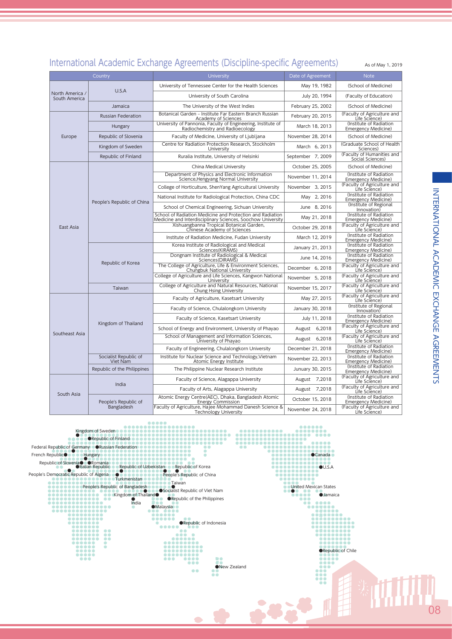|                                  |                                   | International Academic Exchange Agreements (Discipline-specific Agreements)                                              |                   | As of May 1, 2019                                     |
|----------------------------------|-----------------------------------|--------------------------------------------------------------------------------------------------------------------------|-------------------|-------------------------------------------------------|
|                                  | Country                           | University                                                                                                               | Date of Agreement | <b>Note</b>                                           |
|                                  |                                   | University of Tennessee Center for the Health Sciences                                                                   | May 19, 1982      | (School of Medicine)                                  |
| North America /<br>South America | U.S.A                             | University of South Carolina                                                                                             | July 20, 1994     | (Faculty of Education)                                |
|                                  | Jamaica                           | The University of the West Indies                                                                                        | February 25, 2002 | (School of Medicine)                                  |
|                                  | <b>Russian Federation</b>         | Botanical Garden - Institute Far Eastern Branch Russian<br>Academy of Sciences                                           | February 20, 2015 | (Faculty of Agriculture and<br>Life Science)          |
|                                  | Hungary                           | University of Pannonia, Faculty of Engineering, Institute of<br>Radiochemistry and Radioecology                          | March 18, 2013    | (Institute of Radiation<br><b>Emergency Medicine)</b> |
| Europe                           | Republic of Slovenia              | Faculty of Medicine, University of Ljubljana                                                                             | November 28, 2014 | (School of Medicine)                                  |
|                                  | Kingdom of Sweden                 | Centre for Radiation Protection Research, Stockholm<br>University                                                        | March 6, 2013     | (Graduate School of Health<br>Sciences)               |
|                                  | Republic of Finland               | Ruralia Institute, University of Helsinki                                                                                | September 7, 2009 | (Faculty of Humanities and<br>Social Sciences)        |
|                                  |                                   | China Medical University                                                                                                 | October 25, 2005  | (School of Medicine)                                  |
|                                  |                                   | Department of Physics and Electronic Information<br>Science, Hengyang Normal University                                  | November 11, 2014 | (Institute of Radiation<br><b>Emergency Medicine)</b> |
|                                  |                                   | College of Horticulture, ShenYang Agricultural University                                                                | November 3, 2015  | (Faculty of Agriculture and<br>Life Science)          |
|                                  |                                   | National Institute for Radiological Protection, China CDC                                                                | May 2, 2016       | (Institute of Radiation<br>Emergency Medicine)        |
|                                  | People's Republic of China        | School of Chemical Engineering, Sichuan University                                                                       | June 8, 2016      | (Institute of Regional<br>Innovation)                 |
|                                  |                                   | School of Radiation Medicine and Protection and Radiation<br>Medicine and Interdisciplinary Sciences, Soochow University | May 21, 2018      | (Institute of Radiation<br><b>Emergency Medicine)</b> |
| East Asia                        |                                   | Xishuangbanna Tropical Botanical Garden,<br>Chinese Academy of Sciences                                                  | October 29, 2018  | (Faculty of Agriculture and<br>Life Science)          |
|                                  |                                   | Institute of Radiation Medicine, Fudan University                                                                        | March 12, 2019    | (Institute of Radiation<br>Emergency Medicine)        |
|                                  |                                   | Korea Institute of Radiological and Medical<br>Sciences (KIRAMS)                                                         | January 21, 2013  | (Institute of Radiation<br>Emergency Medicine)        |
|                                  |                                   | Dongnam Institute of Radiological & Medical<br>Sciences (DIRAMS)                                                         | June 14, 2016     | (Institute of Radiation<br>Emergency Medicine)        |
|                                  | Republic of Korea                 | The College of Agriculture, Life & Environment Sciences,<br>Chungbuk National University                                 | December 6, 2018  | (Faculty of Agriculture and<br>Life Science)          |
|                                  |                                   | College of Agriculture and Life Sciences, Kangwon National<br>University                                                 | November 5, 2018  | (Faculty of Agriculture and<br>Life Science)          |
|                                  | Taiwan                            | College of Agriculture and Natural Resources, National<br>Chung Hsing University                                         | November 15, 2017 | (Faculty of Agriculture and<br>Life Science)          |
|                                  |                                   | Faculty of Agriculture, Kasetsart University                                                                             | May 27, 2015      | (Faculty of Agriculture and<br>Life Science)          |
|                                  |                                   | Faculty of Science, Chulalongkorn University                                                                             | January 30, 2018  | (Institute of Regional<br>Innovation)                 |
|                                  | Kingdom of Thailand               | Faculty of Science, Kasetsart University                                                                                 | July 11, 2018     | (Institute of Radiation<br>Emergency Medicine)        |
| Southeast Asia                   |                                   | School of Energy and Environment, University of Phayao                                                                   | August 6,2018     | (Faculty of Agriculture and<br>Life Science)          |
|                                  |                                   | School of Management and Information Sciences,<br>University of Phayao                                                   | August 6,2018     | (Faculty of Agriculture and<br>Life Science)          |
|                                  |                                   | Faculty of Engineering, Chulalongkorn University                                                                         | December 21, 2018 | (Institute of Radiation<br><b>Emergency Medicine)</b> |
|                                  | Socialist Republic of<br>Viet Nam | Institute for Nuclear Science and Technology, Vietnam<br>Atomic Energy Institute                                         | November 22, 2013 | (Institute of Radiation<br>Emergency Medicine)        |
|                                  | Republic of the Philippines       | The Philippine Nuclear Research Institute                                                                                | Junuary 30, 2015  | (Institute of Radiation<br>Emergency Medicine)        |
| South Asia                       | India                             | Faculty of Science, Alagappa University                                                                                  | August 7,2018     | (Faculty of Agriculture and<br>Life Science)          |
|                                  |                                   | Faculty of Arts, Alagappa University                                                                                     | August 7,2018     | (Faculty of Agriculture and<br>Life Science)          |
|                                  | People's Republic of              | Atomic Energy Centre(AEC), Dhaka, Bangladesh Atomic<br><b>Energy Commission</b>                                          | October 15, 2018  | (Institute of Radiation<br><b>Emergency Medicine)</b> |

#### International Academic Exchange Agreements (Discipline-specific Agreements)

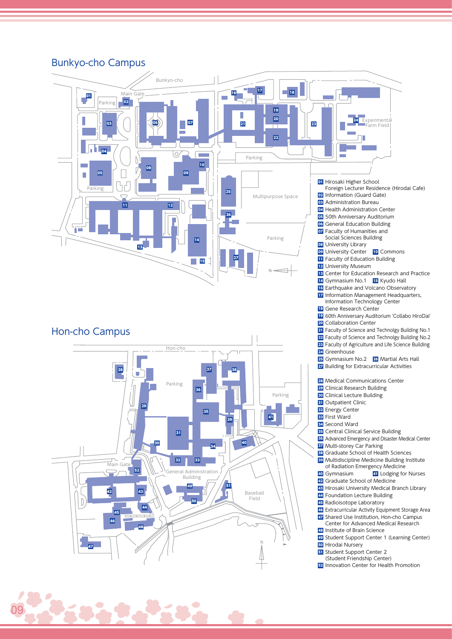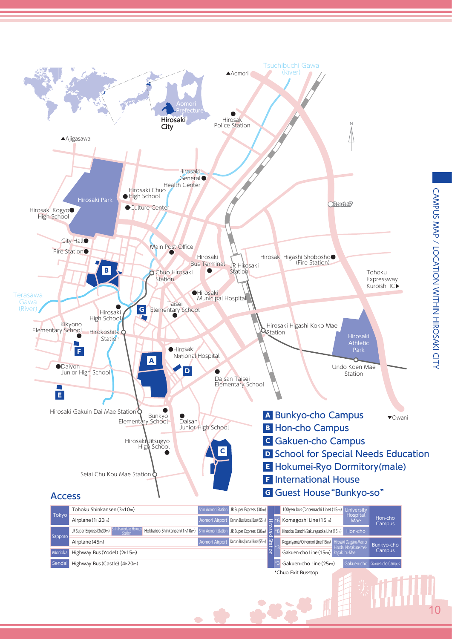

 $\overline{\phantom{a}}$ 

**AR** 

 $10$